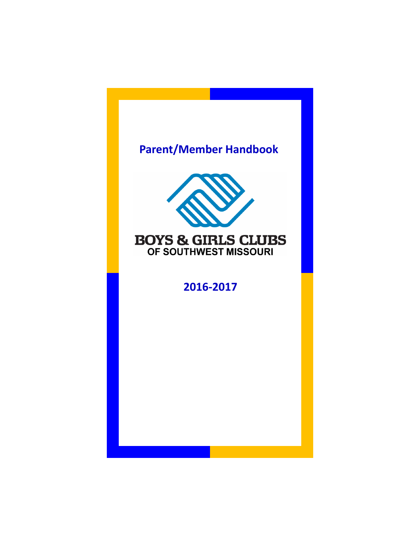# **Parent/Member Handbook**



# **BOYS & GIRLS CLUBS** OF SOUTHWEST MISSOURI

# **2016-2017**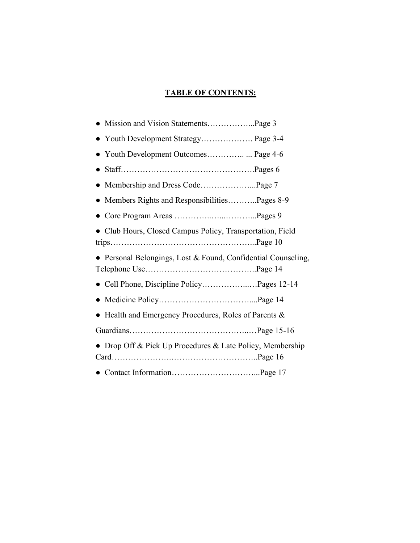# **TABLE OF CONTENTS:**

| • Youth Development Strategy Page 3-4                         |  |
|---------------------------------------------------------------|--|
|                                                               |  |
|                                                               |  |
|                                                               |  |
| • Members Rights and ResponsibilitiesPages 8-9                |  |
|                                                               |  |
| • Club Hours, Closed Campus Policy, Transportation, Field     |  |
| • Personal Belongings, Lost & Found, Confidential Counseling, |  |
|                                                               |  |
|                                                               |  |
| • Health and Emergency Procedures, Roles of Parents $\&$      |  |
|                                                               |  |
| • Drop Off & Pick Up Procedures & Late Policy, Membership     |  |
|                                                               |  |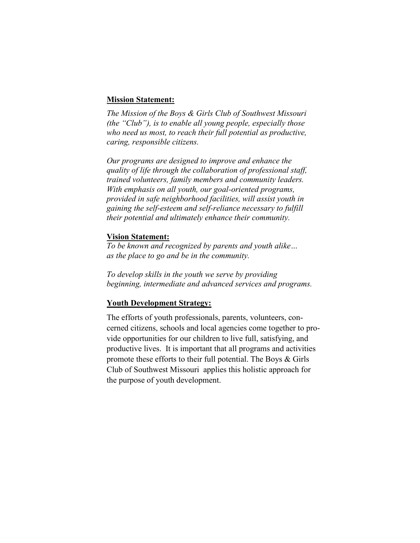#### **Mission Statement:**

*The Mission of the Boys & Girls Club of Southwest Missouri (the "Club"), is to enable all young people, especially those who need us most, to reach their full potential as productive, caring, responsible citizens.*

*Our programs are designed to improve and enhance the quality of life through the collaboration of professional staff, trained volunteers, family members and community leaders. With emphasis on all youth, our goal-oriented programs, provided in safe neighborhood facilities, will assist youth in gaining the self-esteem and self-reliance necessary to fulfill their potential and ultimately enhance their community.*

#### **Vision Statement:**

*To be known and recognized by parents and youth alike… as the place to go and be in the community.*

*To develop skills in the youth we serve by providing beginning, intermediate and advanced services and programs.*

#### **Youth Development Strategy:**

The efforts of youth professionals, parents, volunteers, concerned citizens, schools and local agencies come together to provide opportunities for our children to live full, satisfying, and productive lives. It is important that all programs and activities promote these efforts to their full potential. The Boys & Girls Club of Southwest Missouri applies this holistic approach for the purpose of youth development.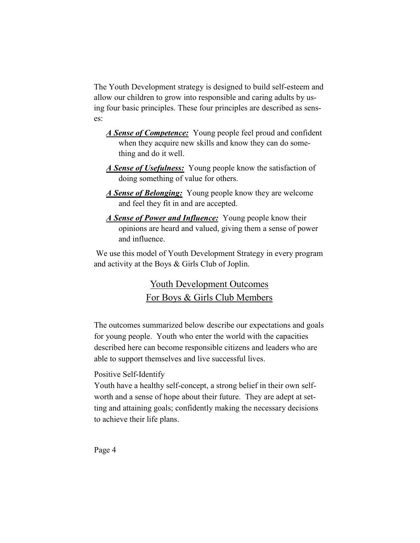The Youth Development strategy is designed to build self-esteem and allow our children to grow into responsible and caring adults by using four basic principles. These four principles are described as senses:

- *A Sense of Competence:* Young people feel proud and confident when they acquire new skills and know they can do something and do it well.
- *A Sense of Usefulness:* Young people know the satisfaction of doing something of value for others.
- *A Sense of Belonging:* Young people know they are welcome and feel they fit in and are accepted.
- *A Sense of Power and Influence:* Young people know their opinions are heard and valued, giving them a sense of power and influence.

We use this model of Youth Development Strategy in every program and activity at the Boys & Girls Club of Joplin.

# Youth Development Outcomes For Boys & Girls Club Members

The outcomes summarized below describe our expectations and goals for young people. Youth who enter the world with the capacities described here can become responsible citizens and leaders who are able to support themselves and live successful lives.

# Positive Self-Identify

Youth have a healthy self-concept, a strong belief in their own selfworth and a sense of hope about their future. They are adept at setting and attaining goals; confidently making the necessary decisions to achieve their life plans.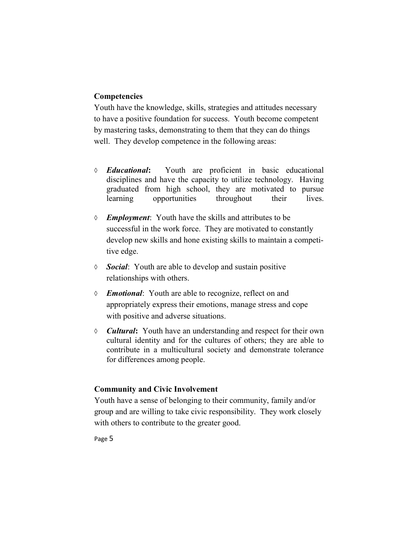## **Competencies**

Youth have the knowledge, skills, strategies and attitudes necessary to have a positive foundation for success. Youth become competent by mastering tasks, demonstrating to them that they can do things well. They develop competence in the following areas:

- *Educational***:** Youth are proficient in basic educational disciplines and have the capacity to utilize technology. Having graduated from high school, they are motivated to pursue learning opportunities throughout their lives.
- *Employment*: Youth have the skills and attributes to be successful in the work force. They are motivated to constantly develop new skills and hone existing skills to maintain a competitive edge.
- *Social*: Youth are able to develop and sustain positive relationships with others.
- *Emotional*: Youth are able to recognize, reflect on and appropriately express their emotions, manage stress and cope with positive and adverse situations.
- *Cultural***:** Youth have an understanding and respect for their own cultural identity and for the cultures of others; they are able to contribute in a multicultural society and demonstrate tolerance for differences among people.

#### **Community and Civic Involvement**

Youth have a sense of belonging to their community, family and/or group and are willing to take civic responsibility. They work closely with others to contribute to the greater good.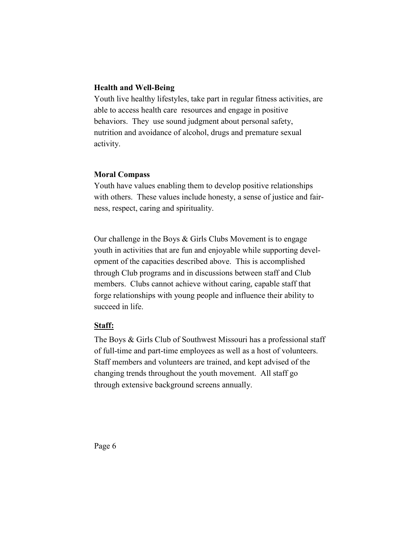## **Health and Well-Being**

Youth live healthy lifestyles, take part in regular fitness activities, are able to access health care resources and engage in positive behaviors. They use sound judgment about personal safety, nutrition and avoidance of alcohol, drugs and premature sexual activity.

#### **Moral Compass**

Youth have values enabling them to develop positive relationships with others. These values include honesty, a sense of justice and fairness, respect, caring and spirituality.

Our challenge in the Boys & Girls Clubs Movement is to engage youth in activities that are fun and enjoyable while supporting development of the capacities described above. This is accomplished through Club programs and in discussions between staff and Club members. Clubs cannot achieve without caring, capable staff that forge relationships with young people and influence their ability to succeed in life.

## **Staff:**

The Boys & Girls Club of Southwest Missouri has a professional staff of full-time and part-time employees as well as a host of volunteers. Staff members and volunteers are trained, and kept advised of the changing trends throughout the youth movement. All staff go through extensive background screens annually.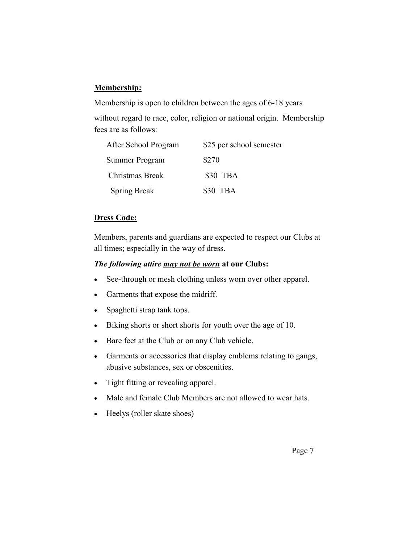# **Membership:**

Membership is open to children between the ages of 6-18 years

without regard to race, color, religion or national origin. Membership fees are as follows:

| After School Program | \$25 per school semester |
|----------------------|--------------------------|
| Summer Program       | \$270                    |
| Christmas Break      | \$30 TBA                 |
| <b>Spring Break</b>  | \$30 TBA                 |

# **Dress Code:**

Members, parents and guardians are expected to respect our Clubs at all times; especially in the way of dress.

# *The following attire may not be worn* **at our Clubs:**

- See-through or mesh clothing unless worn over other apparel.
- Garments that expose the midriff.
- Spaghetti strap tank tops.
- Biking shorts or short shorts for youth over the age of 10.
- Bare feet at the Club or on any Club vehicle.
- Garments or accessories that display emblems relating to gangs, abusive substances, sex or obscenities.
- Tight fitting or revealing apparel.
- Male and female Club Members are not allowed to wear hats.
- Heelys (roller skate shoes)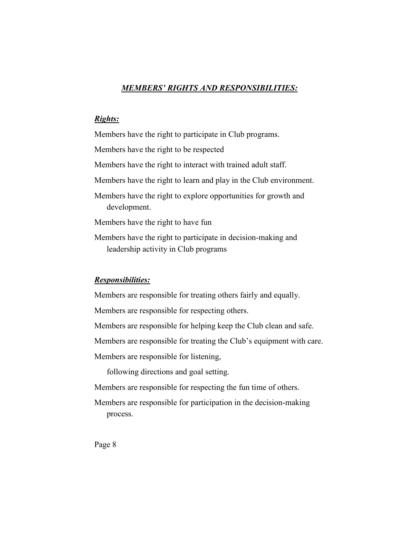## *MEMBERS' RIGHTS AND RESPONSIBILITIES:*

#### *Rights:*

Members have the right to participate in Club programs. Members have the right to be respected Members have the right to interact with trained adult staff. Members have the right to learn and play in the Club environment. Members have the right to explore opportunities for growth and development. Members have the right to have fun Members have the right to participate in decision-making and leadership activity in Club programs

#### *Responsibilities:*

Members are responsible for treating others fairly and equally.

Members are responsible for respecting others.

Members are responsible for helping keep the Club clean and safe.

Members are responsible for treating the Club's equipment with care.

Members are responsible for listening,

following directions and goal setting.

Members are responsible for respecting the fun time of others.

Members are responsible for participation in the decision-making process.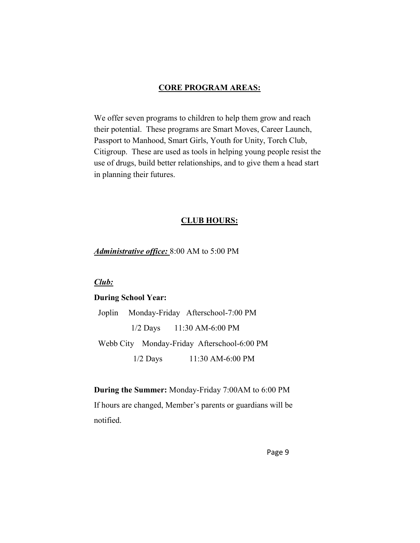#### **CORE PROGRAM AREAS:**

We offer seven programs to children to help them grow and reach their potential. These programs are Smart Moves, Career Launch, Passport to Manhood, Smart Girls, Youth for Unity, Torch Club, Citigroup. These are used as tools in helping young people resist the use of drugs, build better relationships, and to give them a head start in planning their futures.

#### **CLUB HOURS:**

*Administrative office:* 8:00 AM to 5:00 PM

## *Club:*

#### **During School Year:**

 Joplin Monday-Friday Afterschool-7:00 PM 1/2 Days 11:30 AM-6:00 PM Webb City Monday-Friday Afterschool-6:00 PM 1/2 Days 11:30 AM-6:00 PM

**During the Summer:** Monday-Friday 7:00AM to 6:00 PM If hours are changed, Member's parents or guardians will be notified.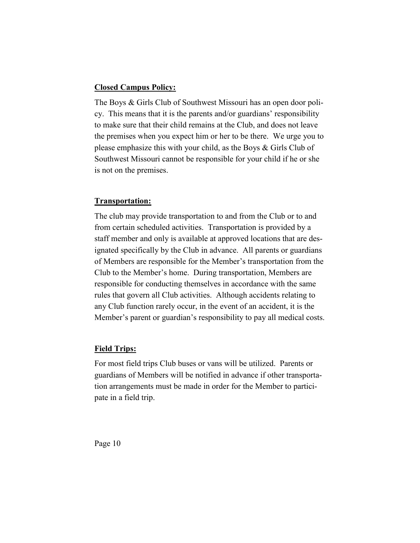## **Closed Campus Policy:**

The Boys & Girls Club of Southwest Missouri has an open door policy. This means that it is the parents and/or guardians' responsibility to make sure that their child remains at the Club, and does not leave the premises when you expect him or her to be there. We urge you to please emphasize this with your child, as the Boys & Girls Club of Southwest Missouri cannot be responsible for your child if he or she is not on the premises.

## **Transportation:**

The club may provide transportation to and from the Club or to and from certain scheduled activities. Transportation is provided by a staff member and only is available at approved locations that are designated specifically by the Club in advance. All parents or guardians of Members are responsible for the Member's transportation from the Club to the Member's home. During transportation, Members are responsible for conducting themselves in accordance with the same rules that govern all Club activities. Although accidents relating to any Club function rarely occur, in the event of an accident, it is the Member's parent or guardian's responsibility to pay all medical costs.

# **Field Trips:**

For most field trips Club buses or vans will be utilized. Parents or guardians of Members will be notified in advance if other transportation arrangements must be made in order for the Member to participate in a field trip.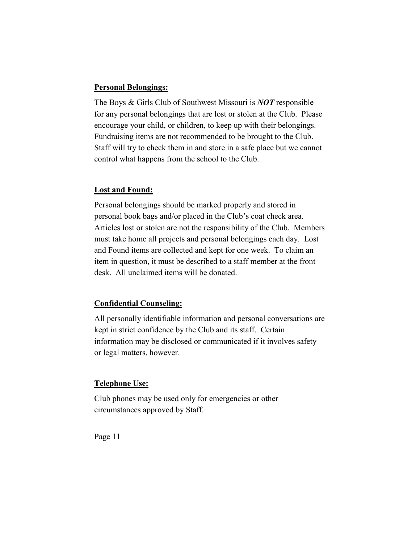## **Personal Belongings:**

The Boys & Girls Club of Southwest Missouri is *NOT* responsible for any personal belongings that are lost or stolen at the Club. Please encourage your child, or children, to keep up with their belongings. Fundraising items are not recommended to be brought to the Club. Staff will try to check them in and store in a safe place but we cannot control what happens from the school to the Club.

#### **Lost and Found:**

Personal belongings should be marked properly and stored in personal book bags and/or placed in the Club's coat check area. Articles lost or stolen are not the responsibility of the Club. Members must take home all projects and personal belongings each day. Lost and Found items are collected and kept for one week. To claim an item in question, it must be described to a staff member at the front desk. All unclaimed items will be donated.

## **Confidential Counseling:**

All personally identifiable information and personal conversations are kept in strict confidence by the Club and its staff. Certain information may be disclosed or communicated if it involves safety or legal matters, however.

#### **Telephone Use:**

Club phones may be used only for emergencies or other circumstances approved by Staff.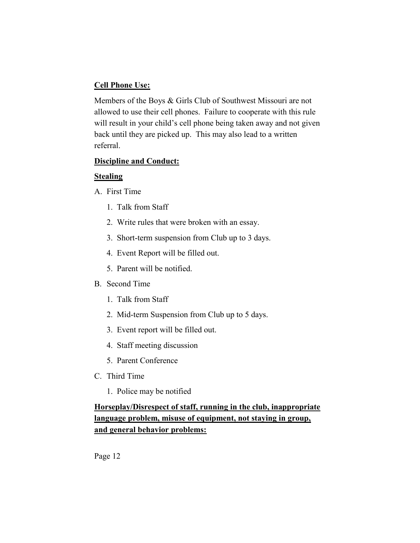## **Cell Phone Use:**

Members of the Boys & Girls Club of Southwest Missouri are not allowed to use their cell phones. Failure to cooperate with this rule will result in your child's cell phone being taken away and not given back until they are picked up. This may also lead to a written referral.

## **Discipline and Conduct:**

## **Stealing**

A. First Time

- 1. Talk from Staff
- 2. Write rules that were broken with an essay.
- 3. Short-term suspension from Club up to 3 days.
- 4. Event Report will be filled out.
- 5. Parent will be notified.

## B. Second Time

- 1. Talk from Staff
- 2. Mid-term Suspension from Club up to 5 days.
- 3. Event report will be filled out.
- 4. Staff meeting discussion
- 5. Parent Conference
- C. Third Time
	- 1. Police may be notified

**Horseplay/Disrespect of staff, running in the club, inappropriate language problem, misuse of equipment, not staying in group, and general behavior problems:**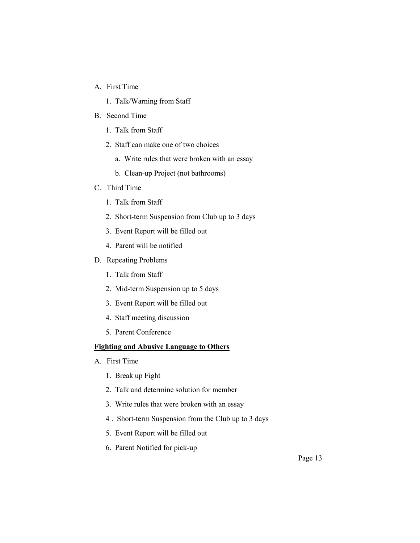- A. First Time
	- 1. Talk/Warning from Staff
- B. Second Time
	- 1. Talk from Staff
	- 2. Staff can make one of two choices
		- a. Write rules that were broken with an essay
		- b. Clean-up Project (not bathrooms)
- C. Third Time
	- 1. Talk from Staff
	- 2. Short-term Suspension from Club up to 3 days
	- 3. Event Report will be filled out
	- 4. Parent will be notified
- D. Repeating Problems
	- 1. Talk from Staff
	- 2. Mid-term Suspension up to 5 days
	- 3. Event Report will be filled out
	- 4. Staff meeting discussion
	- 5. Parent Conference

#### **Fighting and Abusive Language to Others**

- A. First Time
	- 1. Break up Fight
	- 2. Talk and determine solution for member
	- 3. Write rules that were broken with an essay
	- 4 . Short-term Suspension from the Club up to 3 days
	- 5. Event Report will be filled out
	- 6. Parent Notified for pick-up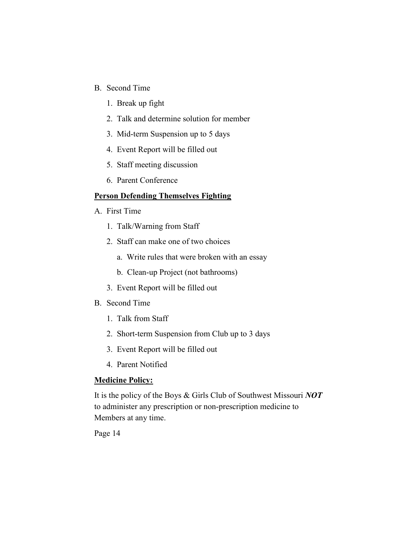- B. Second Time
	- 1. Break up fight
	- 2. Talk and determine solution for member
	- 3. Mid-term Suspension up to 5 days
	- 4. Event Report will be filled out
	- 5. Staff meeting discussion
	- 6. Parent Conference

#### **Person Defending Themselves Fighting**

- A. First Time
	- 1. Talk/Warning from Staff
	- 2. Staff can make one of two choices
		- a. Write rules that were broken with an essay
		- b. Clean-up Project (not bathrooms)
	- 3. Event Report will be filled out
- B. Second Time
	- 1. Talk from Staff
	- 2. Short-term Suspension from Club up to 3 days
	- 3. Event Report will be filled out
	- 4. Parent Notified

#### **Medicine Policy:**

It is the policy of the Boys & Girls Club of Southwest Missouri *NOT*  to administer any prescription or non-prescription medicine to Members at any time.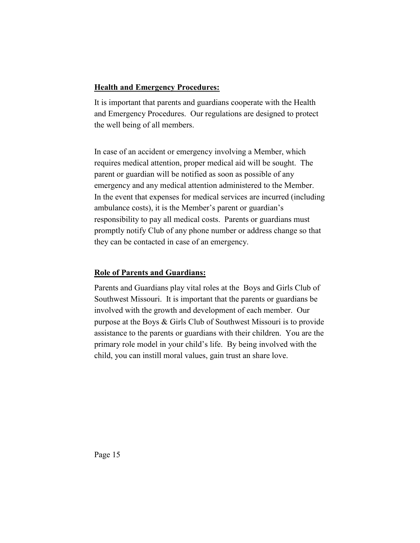## **Health and Emergency Procedures:**

It is important that parents and guardians cooperate with the Health and Emergency Procedures. Our regulations are designed to protect the well being of all members.

In case of an accident or emergency involving a Member, which requires medical attention, proper medical aid will be sought. The parent or guardian will be notified as soon as possible of any emergency and any medical attention administered to the Member. In the event that expenses for medical services are incurred (including ambulance costs), it is the Member's parent or guardian's responsibility to pay all medical costs. Parents or guardians must promptly notify Club of any phone number or address change so that they can be contacted in case of an emergency.

## **Role of Parents and Guardians:**

Parents and Guardians play vital roles at the Boys and Girls Club of Southwest Missouri. It is important that the parents or guardians be involved with the growth and development of each member. Our purpose at the Boys & Girls Club of Southwest Missouri is to provide assistance to the parents or guardians with their children. You are the primary role model in your child's life. By being involved with the child, you can instill moral values, gain trust an share love.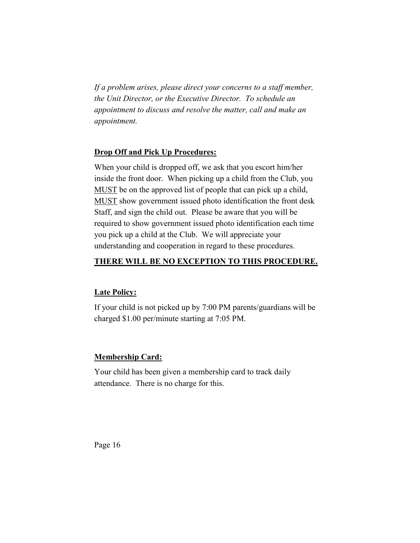*If a problem arises, please direct your concerns to a staff member, the Unit Director, or the Executive Director. To schedule an appointment to discuss and resolve the matter, call and make an appointment.*

#### **Drop Off and Pick Up Procedures:**

When your child is dropped off, we ask that you escort him/her inside the front door. When picking up a child from the Club, you MUST be on the approved list of people that can pick up a child, MUST show government issued photo identification the front desk Staff, and sign the child out. Please be aware that you will be required to show government issued photo identification each time you pick up a child at the Club. We will appreciate your understanding and cooperation in regard to these procedures.

#### **THERE WILL BE NO EXCEPTION TO THIS PROCEDURE.**

#### **Late Policy:**

If your child is not picked up by 7:00 PM parents/guardians will be charged \$1.00 per/minute starting at 7:05 PM.

## **Membership Card:**

Your child has been given a membership card to track daily attendance. There is no charge for this.